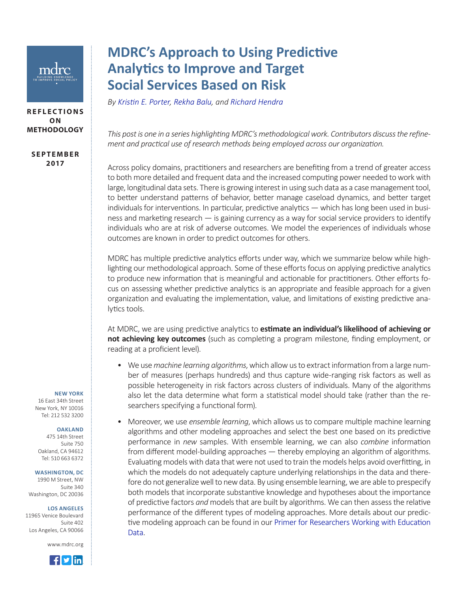

## **REFLECTIONS O N METHODOLOGY**

**S E P T E M B E R 2017**

## **MDRC's Approach to Using Predictive Analytics to Improve and Target Social Services Based on Risk**

*By [Kristin E. Porter](http://www.mdrc.org/about/kristin-porter), [Rekha Balu,](http://www.mdrc.org/about/rekha-balu) and [Richard Hendra](http://www.mdrc.org/about/richard-hendra)*

*This post is one in a series highlighting MDRC's methodological work. Contributors discuss the refinement and practical use of research methods being employed across our organization.*

Across policy domains, practitioners and researchers are benefiting from a trend of greater access to both more detailed and frequent data and the increased computing power needed to work with large, longitudinal data sets. There is growing interest in using such data as a case management tool, to better understand patterns of behavior, better manage caseload dynamics, and better target individuals for interventions. In particular, predictive analytics — which has long been used in business and marketing research — is gaining currency as a way for social service providers to identify individuals who are at risk of adverse outcomes. We model the experiences of individuals whose outcomes are known in order to predict outcomes for others.

MDRC has multiple predictive analytics efforts under way, which we summarize below while highlighting our methodological approach. Some of these efforts focus on applying predictive analytics to produce new information that is meaningful and actionable for practitioners. Other efforts focus on assessing whether predictive analytics is an appropriate and feasible approach for a given organization and evaluating the implementation, value, and limitations of existing predictive analytics tools.

At MDRC, we are using predictive analytics to **estimate an individual's likelihood of achieving or not achieving key outcomes** (such as completing a program milestone, finding employment, or reading at a proficient level).

- We use *machine learning algorithms*, which allow us to extract information from a large number of measures (perhaps hundreds) and thus capture wide-ranging risk factors as well as possible heterogeneity in risk factors across clusters of individuals. Many of the algorithms also let the data determine what form a statistical model should take (rather than the researchers specifying a functional form).
- Moreover, we use *ensemble learning*, which allows us to compare multiple machine learning algorithms and other modeling approaches and select the best one based on its predictive performance in *new* samples. With ensemble learning, we can also *combine* information from different model-building approaches — thereby employing an algorithm of algorithms. Evaluating models with data that were not used to train the models helps avoid overfitting, in which the models do not adequately capture underlying relationships in the data and therefore do not generalize well to new data. By using ensemble learning, we are able to prespecify both models that incorporate substantive knowledge and hypotheses about the importance of predictive factors *and* models that are built by algorithms. We can then assess the relative performance of the different types of modeling approaches. More details about our predictive modeling approach can be found in our [Primer for Researchers Working with Education](http://www.mdrc.org/publication/predictive-modeling-k-12-academic-outcomes) [Data.](http://www.mdrc.org/publication/predictive-modeling-k-12-academic-outcomes)

## **NEW YORK**

16 East 34th Street New York, NY 10016 Tel: 212 532 3200

## **OAKLAND**

475 14th Street Suite 750 Oakland, CA 94612 Tel: 510 663 6372

**WASHINGTON, DC**

1990 M Street, NW Suite 340 Washington, DC 20036

**LOS ANGELES**

11965 Venice Boulevard Suite 402 Los Angeles, CA 90066

www.mdrc.org